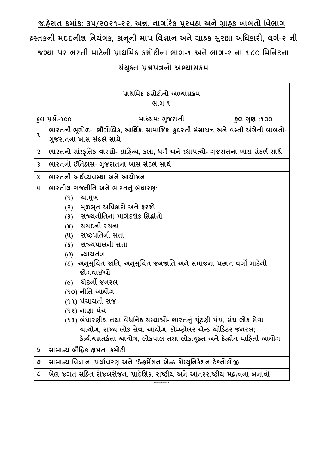**જાહરે ાત ક્રમાાંક: ૩૫**/**૨૦૨૧-૨૨**, **અન્ન, નાગરરક પરુવઠા અનેગ્રાહક બાબતો વવભાગ**

# **હસ્તકની મદદનીશ વનયાંત્રક, કાનનૂ ી માપ વવજ્ઞાન અનેગ્રાહક સરુક્ષા અવિકારી, વગગ-૨ ની જગ્યા પર ભરતી માટેની પ્રાથવમક કસોટીના ભાગ-૧ અનેભાગ-૨ ના ૧૮૦ વમવનટના**

### **સયાં ક્ુત પ્રશ્નપત્રનો અભ્યાસક્રમ**

|                             | પ્રાથમિક કસોટીનો અભ્યાસક્રમ                                                                               |
|-----------------------------|-----------------------------------------------------------------------------------------------------------|
|                             | ભાગ-૧                                                                                                     |
|                             | કુલ પ્રશ્નો-૧૦૦<br>માધ્યમ: ગુજરાતી<br>કુલ ગુણ :૧૦૦                                                        |
| $\mathbf{q}$                | ભારતની ભૂગોળ- ભૌગોલિક, આર્થિક, સામાજિક, કુદરતી સંસાધન અને વસ્તી અંગેની બાબતો-<br>ગુજરાતના ખાસ સંદર્ભ સાથે |
| S.                          | ભારતનો સાંસ્કૃતિક વારસો- સાહિત્ય, કલા, ધર્મ અને સ્થાપત્યો- ગુજરાતના ખાસ સંદર્ભ સાથે                       |
| $\mathbf{3}$                | ભારતનો ઈતિહ્વસ- ગુજરાતના ખાસ સંદર્ભ સાથે                                                                  |
| Χ                           | ભારતની અર્થવ્યવસ્થા અને આયોજન                                                                             |
| ૫                           | ભારતીય રાજનીતિ અને ભારતનું બંધારણ:                                                                        |
|                             | આમુખ<br>(9)                                                                                               |
|                             | (૨) મૂળભૂત અધિકારો અને ફરજો                                                                               |
|                             | રાજ્યનીતિના માર્ગદર્શક સિદ્ધાંતો<br>(3)                                                                   |
|                             | (४) સંસદની રચના                                                                                           |
|                             | (૫) રાષ્ટ્રપતિની સત્તા                                                                                    |
|                             | (s) રાજ્યપાલની સત્તા                                                                                      |
|                             | (૭) ન્યાયતંત્ર                                                                                            |
|                             | (૮)  અનુસૂચિત જાતિ, અનુસૂચિત જનજાતિ અને સમાજના પછાત વર્ગો માટેની<br>જોગવાઈઓ                               |
|                             | <i>(૯)</i> એટર્ની જનરલ                                                                                    |
|                             | (૧૦) નીતિ આચોગ                                                                                            |
|                             | (૧૧) પંચાયતી રાજ                                                                                          |
|                             | (૧૨) નાણા પંચ                                                                                             |
|                             | (૧૩) બંધારણીય તથા વૈધનિક સંસ્થાઓ- ભારતનું યૂંટણી પંચ, સંઘ લોક સેવા                                        |
|                             | આયોગ, રાજ્ય લોક સેવા આયોગ, કોમ્પ્ટ્રોલર એન્ડ ઓડિટર જનરલ;                                                  |
|                             | કેન્દ્રીયસતર્કતા આયોગ, લોકપાલ તથા લોકાયુક્ત અને કેન્દ્રીય માહિતી આયોગ                                     |
| $\mathsf S$                 | સામાન્ચ બૌદ્ધિક ક્ષમતા કસોટી                                                                              |
| ৩                           | સામાન્ય વિજ્ઞાન, પર્યાવરણ અને ઈન્ફર્મેશન એન્ડ કોમ્યુનિકેશન ટેકનોલોજી                                      |
| $\mathcal{C}_{\mathcal{C}}$ | ખેલ જગત સહિત રોજબરોજના પ્રાદેશિક, રાષ્ટ્રીય અને આંતરરાષ્ટ્રીય મહ્ત્વના બનાવો                              |
|                             | *********                                                                                                 |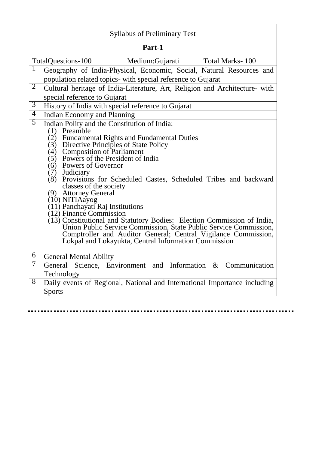### Syllabus of Preliminary Test

### **Part-1**

|                | TotalQuestions-100 Medium:Gujarati Total Marks-100                                                                                           |
|----------------|----------------------------------------------------------------------------------------------------------------------------------------------|
| 1              | Geography of India-Physical, Economic, Social, Natural Resources and                                                                         |
|                | population related topics- with special reference to Gujarat                                                                                 |
| $\overline{2}$ | Cultural heritage of India-Literature, Art, Religion and Architecture- with                                                                  |
|                | special reference to Gujarat                                                                                                                 |
| $\overline{3}$ | History of India with special reference to Gujarat                                                                                           |
| $\overline{4}$ | Indian Economy and Planning                                                                                                                  |
| 5              | Indian Polity and the Constitution of India:                                                                                                 |
|                | (1) Preamble                                                                                                                                 |
|                | (2) Fundamental Rights and Fundamental Duties                                                                                                |
|                | (3) Directive Principles of State Policy<br>(4) Composition of Parliament<br>(5) Powers of the President of India                            |
|                |                                                                                                                                              |
|                | Powers of Governor<br>(6)                                                                                                                    |
|                | (7) Judiciary<br>(8)<br>Provisions for Scheduled Castes, Scheduled Tribes and backward                                                       |
|                | classes of the society                                                                                                                       |
|                | (9) Attorney General                                                                                                                         |
|                | (10) NITIAayog<br>(11) Panchayati Raj Institutions                                                                                           |
|                | $(12)$ Finance Commission                                                                                                                    |
|                |                                                                                                                                              |
|                | (13) Constitutional and Statutory Bodies: Election Commission of India,<br>Union Public Service Commission, State Public Service Commission, |
|                | Comptroller and Auditor General; Central Vigilance Commission,                                                                               |
|                | Lokpal and Lokayukta, Central Information Commission                                                                                         |
| 6              | <b>General Mental Ability</b>                                                                                                                |
| 7              | General Science, Environment and Information & Communication                                                                                 |
|                | Technology                                                                                                                                   |
| 8              | Daily events of Regional, National and International Importance including                                                                    |
|                | <b>Sports</b>                                                                                                                                |
|                |                                                                                                                                              |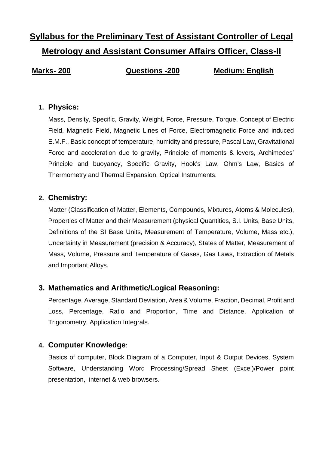## **Syllabus for the Preliminary Test of Assistant Controller of Legal Metrology and Assistant Consumer Affairs Officer, Class-II**

**Marks- 200 Questions -200 Medium: English**

#### **1. Physics:**

Mass, Density, Specific, Gravity, Weight, Force, Pressure, Torque, Concept of Electric Field, Magnetic Field, Magnetic Lines of Force, Electromagnetic Force and induced E.M.F., Basic concept of temperature, humidity and pressure, Pascal Law, Gravitational Force and acceleration due to gravity, Principle of moments & levers, Archimedes' Principle and buoyancy, Specific Gravity, Hook's Law, Ohm's Law, Basics of Thermometry and Thermal Expansion, Optical Instruments.

#### **2. Chemistry:**

Matter (Classification of Matter, Elements, Compounds, Mixtures, Atoms & Molecules), Properties of Matter and their Measurement (physical Quantities, S.I. Units, Base Units, Definitions of the SI Base Units, Measurement of Temperature, Volume, Mass etc.), Uncertainty in Measurement (precision & Accuracy), States of Matter, Measurement of Mass, Volume, Pressure and Temperature of Gases, Gas Laws, Extraction of Metals and Important Alloys.

#### **3. Mathematics and Arithmetic/Logical Reasoning:**

Percentage, Average, Standard Deviation, Area & Volume, Fraction, Decimal, Profit and Loss, Percentage, Ratio and Proportion, Time and Distance, Application of Trigonometry, Application Integrals.

#### **4. Computer Knowledge**:

Basics of computer, Block Diagram of a Computer, Input & Output Devices, System Software, Understanding Word Processing/Spread Sheet (Excel)/Power point presentation, internet & web browsers.